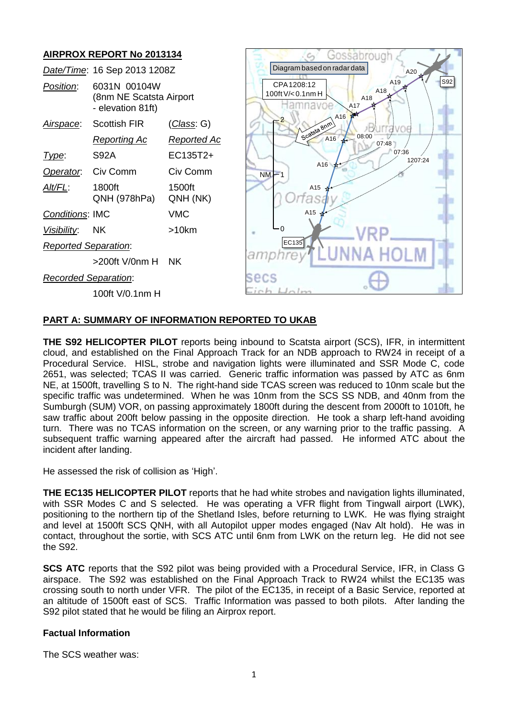# **AIRPROX REPORT No 2013134**

| Gossabrough                                                                    |
|--------------------------------------------------------------------------------|
| Diagram based on radar data<br>A20                                             |
| S92<br>A <sub>19</sub><br>CPA1208:12<br>A18<br>100ft V/< 0.1nm H<br>A18<br>A17 |
| A16<br>Scatsta Bnm<br><b>TAVOE</b>                                             |
| 08:00<br>A16<br>07:48                                                          |
| 07:36<br>1207:24                                                               |
| A <sub>16</sub> $\star$<br>$NM-1$                                              |
| A15                                                                            |
| A15                                                                            |
|                                                                                |
| EC135                                                                          |
| <b>NNA HOLM</b>                                                                |
| secs                                                                           |
|                                                                                |
|                                                                                |

### **PART A: SUMMARY OF INFORMATION REPORTED TO UKAB**

**THE S92 HELICOPTER PILOT** reports being inbound to Scatsta airport (SCS), IFR, in intermittent cloud, and established on the Final Approach Track for an NDB approach to RW24 in receipt of a Procedural Service. HISL, strobe and navigation lights were illuminated and SSR Mode C, code 2651, was selected; TCAS II was carried. Generic traffic information was passed by ATC as 6nm NE, at 1500ft, travelling S to N. The right-hand side TCAS screen was reduced to 10nm scale but the specific traffic was undetermined. When he was 10nm from the SCS SS NDB, and 40nm from the Sumburgh (SUM) VOR, on passing approximately 1800ft during the descent from 2000ft to 1010ft, he saw traffic about 200ft below passing in the opposite direction. He took a sharp left-hand avoiding turn. There was no TCAS information on the screen, or any warning prior to the traffic passing. A subsequent traffic warning appeared after the aircraft had passed. He informed ATC about the incident after landing.

He assessed the risk of collision as 'High'.

**THE EC135 HELICOPTER PILOT** reports that he had white strobes and navigation lights illuminated, with SSR Modes C and S selected. He was operating a VFR flight from Tingwall airport (LWK), positioning to the northern tip of the Shetland Isles, before returning to LWK. He was flying straight and level at 1500ft SCS QNH, with all Autopilot upper modes engaged (Nav Alt hold). He was in contact, throughout the sortie, with SCS ATC until 6nm from LWK on the return leg. He did not see the S92.

**SCS ATC** reports that the S92 pilot was being provided with a Procedural Service, IFR, in Class G airspace. The S92 was established on the Final Approach Track to RW24 whilst the EC135 was crossing south to north under VFR. The pilot of the EC135, in receipt of a Basic Service, reported at an altitude of 1500ft east of SCS. Traffic Information was passed to both pilots. After landing the S92 pilot stated that he would be filing an Airprox report.

#### **Factual Information**

The SCS weather was: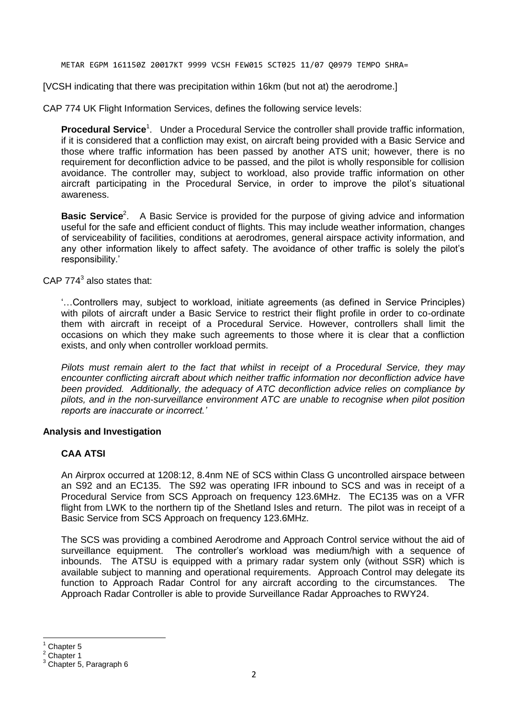METAR EGPM 161150Z 20017KT 9999 VCSH FEW015 SCT025 11/07 Q0979 TEMPO SHRA=

[VCSH indicating that there was precipitation within 16km (but not at) the aerodrome.]

CAP 774 UK Flight Information Services, defines the following service levels:

Procedural Service<sup>1</sup>. Under a Procedural Service the controller shall provide traffic information, if it is considered that a confliction may exist, on aircraft being provided with a Basic Service and those where traffic information has been passed by another ATS unit; however, there is no requirement for deconfliction advice to be passed, and the pilot is wholly responsible for collision avoidance. The controller may, subject to workload, also provide traffic information on other aircraft participating in the Procedural Service, in order to improve the pilot's situational awareness.

**Basic Service**<sup>2</sup>. A Basic Service is provided for the purpose of giving advice and information useful for the safe and efficient conduct of flights. This may include weather information, changes of serviceability of facilities, conditions at aerodromes, general airspace activity information, and any other information likely to affect safety. The avoidance of other traffic is solely the pilot's responsibility.'

CAP  $774^3$  also states that:

'…Controllers may, subject to workload, initiate agreements (as defined in Service Principles) with pilots of aircraft under a Basic Service to restrict their flight profile in order to co-ordinate them with aircraft in receipt of a Procedural Service. However, controllers shall limit the occasions on which they make such agreements to those where it is clear that a confliction exists, and only when controller workload permits.

*Pilots must remain alert to the fact that whilst in receipt of a Procedural Service, they may encounter conflicting aircraft about which neither traffic information nor deconfliction advice have been provided. Additionally, the adequacy of ATC deconfliction advice relies on compliance by pilots, and in the non-surveillance environment ATC are unable to recognise when pilot position reports are inaccurate or incorrect.'*

### **Analysis and Investigation**

## **CAA ATSI**

An Airprox occurred at 1208:12, 8.4nm NE of SCS within Class G uncontrolled airspace between an S92 and an EC135. The S92 was operating IFR inbound to SCS and was in receipt of a Procedural Service from SCS Approach on frequency 123.6MHz. The EC135 was on a VFR flight from LWK to the northern tip of the Shetland Isles and return. The pilot was in receipt of a Basic Service from SCS Approach on frequency 123.6MHz.

The SCS was providing a combined Aerodrome and Approach Control service without the aid of surveillance equipment. The controller's workload was medium/high with a sequence of inbounds. The ATSU is equipped with a primary radar system only (without SSR) which is available subject to manning and operational requirements. Approach Control may delegate its function to Approach Radar Control for any aircraft according to the circumstances. The Approach Radar Controller is able to provide Surveillance Radar Approaches to RWY24.

 $\overline{\phantom{a}}$ Chapter 5

Chapter 1

 $3$  Chapter 5, Paragraph 6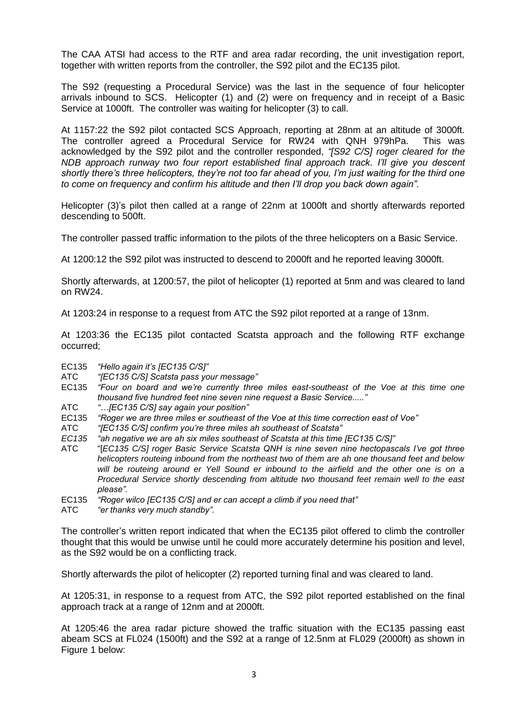The CAA ATSI had access to the RTF and area radar recording, the unit investigation report, together with written reports from the controller, the S92 pilot and the EC135 pilot.

The S92 (requesting a Procedural Service) was the last in the sequence of four helicopter arrivals inbound to SCS. Helicopter (1) and (2) were on frequency and in receipt of a Basic Service at 1000ft. The controller was waiting for helicopter (3) to call.

At 1157:22 the S92 pilot contacted SCS Approach, reporting at 28nm at an altitude of 3000ft. The controller agreed a Procedural Service for RW24 with QNH 979hPa. This was acknowledged by the S92 pilot and the controller responded, *"[S92 C/S] roger cleared for the NDB approach runway two four report established final approach track. I'll give you descent shortly there's three helicopters, they're not too far ahead of you, I'm just waiting for the third one to come on frequency and confirm his altitude and then I'll drop you back down again"*.

Helicopter (3)'s pilot then called at a range of 22nm at 1000ft and shortly afterwards reported descending to 500ft.

The controller passed traffic information to the pilots of the three helicopters on a Basic Service.

At 1200:12 the S92 pilot was instructed to descend to 2000ft and he reported leaving 3000ft.

Shortly afterwards, at 1200:57, the pilot of helicopter (1) reported at 5nm and was cleared to land on RW24.

At 1203:24 in response to a request from ATC the S92 pilot reported at a range of 13nm.

At 1203:36 the EC135 pilot contacted Scatsta approach and the following RTF exchange occurred;

EC135 *"Hello again it's [EC135 C/S]"*

- ATC *"[EC135 C/S] Scatsta pass your message"*
- EC135 *"Four on board and we're currently three miles east-southeast of the Voe at this time one thousand five hundred feet nine seven nine request a Basic Service....."*
- ATC *"…[EC135 C/S] say again your position"*
- EC135 *"Roger we are three miles er southeast of the Voe at this time correction east of Voe"*
- ATC *"[EC135 C/S] confirm you're three miles ah southeast of Scatsta"*
- *EC135 "ah negative we are ah six miles southeast of Scatsta at this time [EC135 C/S]"*
- ATC "[*EC135 C/S] roger Basic Service Scatsta QNH is nine seven nine hectopascals I've got three helicopters routeing inbound from the northeast two of them are ah one thousand feet and below will be routeing around er Yell Sound er inbound to the airfield and the other one is on a Procedural Service shortly descending from altitude two thousand feet remain well to the east please".*
- EC135 *"Roger wilco [EC135 C/S] and er can accept a climb if you need that"*
- ATC *"er thanks very much standby".*

The controller's written report indicated that when the EC135 pilot offered to climb the controller thought that this would be unwise until he could more accurately determine his position and level, as the S92 would be on a conflicting track.

Shortly afterwards the pilot of helicopter (2) reported turning final and was cleared to land.

At 1205:31, in response to a request from ATC, the S92 pilot reported established on the final approach track at a range of 12nm and at 2000ft.

At 1205:46 the area radar picture showed the traffic situation with the EC135 passing east abeam SCS at FL024 (1500ft) and the S92 at a range of 12.5nm at FL029 (2000ft) as shown in Figure 1 below: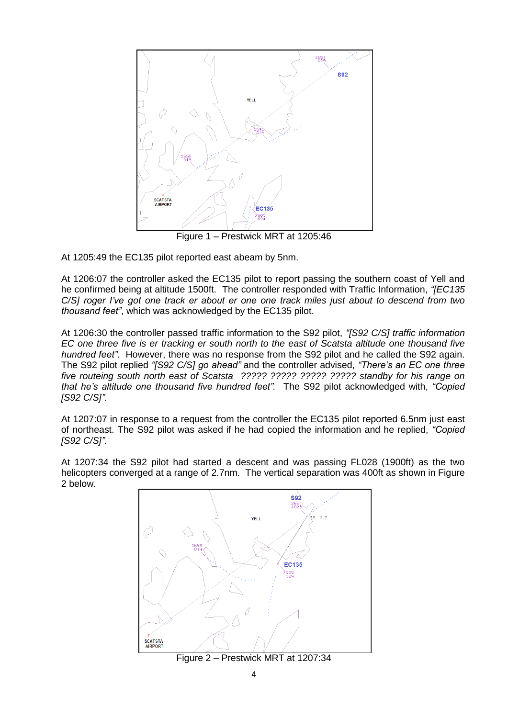

Figure 1 – Prestwick MRT at 1205:46

At 1205:49 the EC135 pilot reported east abeam by 5nm.

At 1206:07 the controller asked the EC135 pilot to report passing the southern coast of Yell and he confirmed being at altitude 1500ft. The controller responded with Traffic Information, *"[EC135 C/S] roger I've got one track er about er one one track miles just about to descend from two thousand feet"*, which was acknowledged by the EC135 pilot.

At 1206:30 the controller passed traffic information to the S92 pilot, *"[S92 C/S] traffic information EC one three five is er tracking er south north to the east of Scatsta altitude one thousand five hundred feet"*. However, there was no response from the S92 pilot and he called the S92 again. The S92 pilot replied *"[S92 C/S] go ahead"* and the controller advised, *"There's an EC one three five routeing south north east of Scatsta ????? ????? ????? ????? standby for his range on that he's altitude one thousand five hundred feet".* The S92 pilot acknowledged with, *"Copied [S92 C/S]".*

At 1207:07 in response to a request from the controller the EC135 pilot reported 6.5nm just east of northeast. The S92 pilot was asked if he had copied the information and he replied, *"Copied [S92 C/S]"*.

At 1207:34 the S92 pilot had started a descent and was passing FL028 (1900ft) as the two helicopters converged at a range of 2.7nm. The vertical separation was 400ft as shown in Figure 2 below.



Figure 2 – Prestwick MRT at 1207:34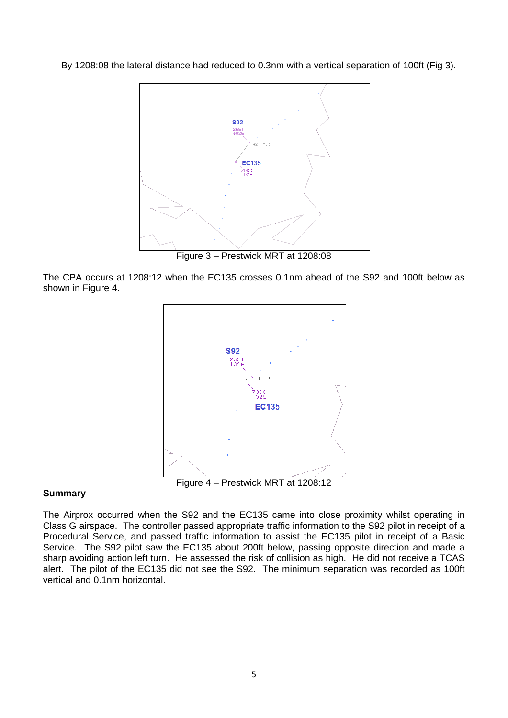By 1208:08 the lateral distance had reduced to 0.3nm with a vertical separation of 100ft (Fig 3).



Figure 3 – Prestwick MRT at 1208:08

The CPA occurs at 1208:12 when the EC135 crosses 0.1nm ahead of the S92 and 100ft below as shown in Figure 4.



### **Summary**

The Airprox occurred when the S92 and the EC135 came into close proximity whilst operating in Class G airspace. The controller passed appropriate traffic information to the S92 pilot in receipt of a Procedural Service, and passed traffic information to assist the EC135 pilot in receipt of a Basic Service. The S92 pilot saw the EC135 about 200ft below, passing opposite direction and made a sharp avoiding action left turn. He assessed the risk of collision as high. He did not receive a TCAS alert. The pilot of the EC135 did not see the S92. The minimum separation was recorded as 100ft vertical and 0.1nm horizontal.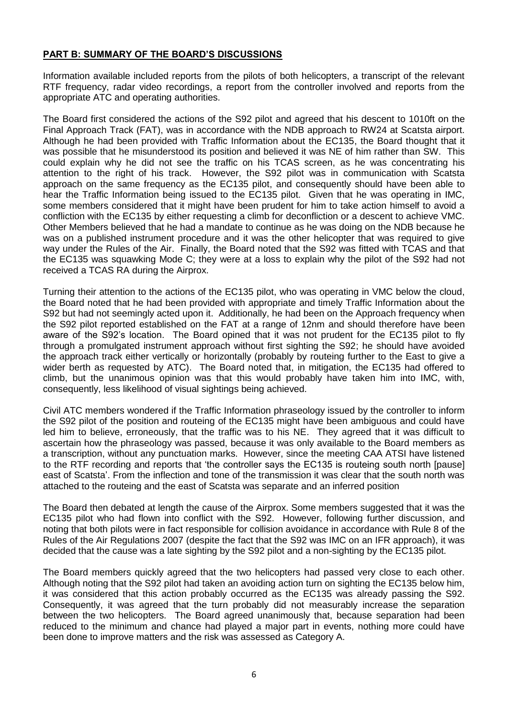## **PART B: SUMMARY OF THE BOARD'S DISCUSSIONS**

Information available included reports from the pilots of both helicopters, a transcript of the relevant RTF frequency, radar video recordings, a report from the controller involved and reports from the appropriate ATC and operating authorities.

The Board first considered the actions of the S92 pilot and agreed that his descent to 1010ft on the Final Approach Track (FAT), was in accordance with the NDB approach to RW24 at Scatsta airport. Although he had been provided with Traffic Information about the EC135, the Board thought that it was possible that he misunderstood its position and believed it was NE of him rather than SW. This could explain why he did not see the traffic on his TCAS screen, as he was concentrating his attention to the right of his track. However, the S92 pilot was in communication with Scatsta approach on the same frequency as the EC135 pilot, and consequently should have been able to hear the Traffic Information being issued to the EC135 pilot. Given that he was operating in IMC, some members considered that it might have been prudent for him to take action himself to avoid a confliction with the EC135 by either requesting a climb for deconfliction or a descent to achieve VMC. Other Members believed that he had a mandate to continue as he was doing on the NDB because he was on a published instrument procedure and it was the other helicopter that was required to give way under the Rules of the Air. Finally, the Board noted that the S92 was fitted with TCAS and that the EC135 was squawking Mode C; they were at a loss to explain why the pilot of the S92 had not received a TCAS RA during the Airprox.

Turning their attention to the actions of the EC135 pilot, who was operating in VMC below the cloud, the Board noted that he had been provided with appropriate and timely Traffic Information about the S92 but had not seemingly acted upon it. Additionally, he had been on the Approach frequency when the S92 pilot reported established on the FAT at a range of 12nm and should therefore have been aware of the S92's location. The Board opined that it was not prudent for the EC135 pilot to fly through a promulgated instrument approach without first sighting the S92; he should have avoided the approach track either vertically or horizontally (probably by routeing further to the East to give a wider berth as requested by ATC). The Board noted that, in mitigation, the EC135 had offered to climb, but the unanimous opinion was that this would probably have taken him into IMC, with, consequently, less likelihood of visual sightings being achieved.

Civil ATC members wondered if the Traffic Information phraseology issued by the controller to inform the S92 pilot of the position and routeing of the EC135 might have been ambiguous and could have led him to believe, erroneously, that the traffic was to his NE. They agreed that it was difficult to ascertain how the phraseology was passed, because it was only available to the Board members as a transcription, without any punctuation marks. However, since the meeting CAA ATSI have listened to the RTF recording and reports that 'the controller says the EC135 is routeing south north [pause] east of Scatsta'. From the inflection and tone of the transmission it was clear that the south north was attached to the routeing and the east of Scatsta was separate and an inferred position

The Board then debated at length the cause of the Airprox. Some members suggested that it was the EC135 pilot who had flown into conflict with the S92. However, following further discussion, and noting that both pilots were in fact responsible for collision avoidance in accordance with Rule 8 of the Rules of the Air Regulations 2007 (despite the fact that the S92 was IMC on an IFR approach), it was decided that the cause was a late sighting by the S92 pilot and a non-sighting by the EC135 pilot.

The Board members quickly agreed that the two helicopters had passed very close to each other. Although noting that the S92 pilot had taken an avoiding action turn on sighting the EC135 below him, it was considered that this action probably occurred as the EC135 was already passing the S92. Consequently, it was agreed that the turn probably did not measurably increase the separation between the two helicopters. The Board agreed unanimously that, because separation had been reduced to the minimum and chance had played a major part in events, nothing more could have been done to improve matters and the risk was assessed as Category A.